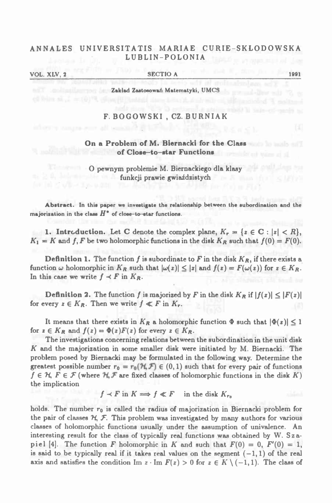# **ANNALES UNIVERSITATIS MARIAE CURIE-SKŁODOWSK <sup>A</sup> LUBLIN-POLONIA**

# **VOL. XLV, <sup>2</sup>\_\_\_\_\_\_\_\_\_\_\_\_\_\_\_\_\_\_\_\_\_\_\_\_\_\_ SECTIO <sup>A</sup>\_\_\_\_\_\_\_\_\_\_\_\_\_\_\_\_\_\_\_\_\_\_\_\_\_\_\_\_\_\_\_\_\_\_\_\_ <sup>1991</sup>**

**Zakład Zastosowań Matematyki, UMCS**

#### **F. BOGOWSKI , CZ. BURNIAK**

# **On <sup>a</sup> Problem of M. Biernacki for the Class of Close—to-star Functions**

# **<sup>O</sup> pewnym problemie M. Biernackiego dla klasy funkcji prawie gwiaździstych**

Abstract. In this paper we investigate the relationship between the subordination and the **majorization** in the class  $H^*$  of close-to-star functions.

1. Introduction. Let C denote the complex plane,  $K_r = \{z \in \mathbb{C} : |z| < R\},\$  $K_1 = K$  and f, F be two holomorphic functions in the disk  $K_R$  such that  $f(0) = F(0)$ .

**Definition 1.** The function f is subordinate to F in the disk  $K_R$ , if there exists a function  $\omega$  holomorphic in  $K_R$  such that  $|\omega(z)| \le |z|$  and  $f(z) = F(\omega(z))$  for  $z \in K_R$ . In this case we write  $f \prec F$  in  $K_R$ .

**Definition 2.** The function f is majorized by F in the disk  $K_R$  if  $|f(z)| \leq |F(z)|$ for every  $z \in K_R$ . Then we write  $f \ll F$  in  $K_r$ .

It means that there exists in  $K_R$  a holomorphic function  $\Phi$  such that  $|\Phi(z)| \leq 1$ for  $z \in K_R$  and  $f(z) = \Phi(z)F(z)$  for every  $z \in K_R$ .

The investigations concerning relations between the subordination in the unit disk K and the majorization in some smaller disk were initiated by M. Biernacki. The problem posed by Biernacki may be formulated in the following way. Determine the greatest possible number  $r_0 = r_0(\mathcal{H}, \mathcal{F}) \in (0, 1)$  such that for every pair of functions  $f \in \mathcal{H}, F \in \mathcal{F}$  (where  $\mathcal{H}, \mathcal{F}$  are fixed classes of holomorphic functions in the disk K) It means that there exists in  $K_R$  a holomorphic function  $\Phi$  such that  $|\Phi(z)| \le 1$ <br>for  $z \in K_R$  and  $f(z) = \Phi(z)F(z)$  for every  $z \in K_R$ .<br>The investigations concerning relations between the subordination in the unit disk<br>K and **the implication**

 $f \prec F$  in  $K \Longrightarrow f \ll F$  in the disk  $K_{r_0}$ 

holds. The number  $r_0$  is called the radius of majorization in Biernacki problem for holds. The number  $r_0$  is called the radius of majorization in Biernacki problem for<br>the pair of classes  $\mathcal{H}, \mathcal{F}$ . This problem was investigated by many authors for various<br>classes of holomorphic functions usually classes of holomorphic functions usually under the assumption of univalence. An interesting result for the class of typically real functions was obtained by W. Szapiel [4]. The function F holomorphic in K and such that  $F(0) = 0$ ,  $F'(0) = 1$ , is said to be typically real if it takes real values on the segment  $(-1,1)$  of the real axis and satisfies the condition Im z  $\cdot$  Im  $F(z) > 0$  for  $z \in K \setminus (-1,1)$ . The class of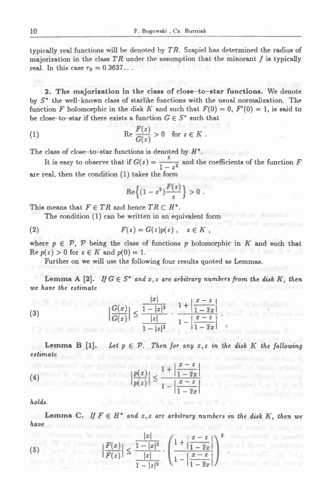typically real functions will be denoted by  $TR$ . Szapiel has determined the radius of majorization in the class  $TR$  under the assumption that the minorant  $f$  is typically *<b>real.* **In** this case  $r_0 = 0.3637...$ 

**2. The majorization in the class of close-to-star functions. We denote** by S<sup>\*</sup> the well-known class of starlike functions with the usual normalization. The function F holomorphic in the disk K and such that  $F(0) = 0$ ,  $F'(0) = 1$ , is said to **be close-to-star** if there exists a function  $G \in S^*$  such that **2.** The majorization in the class of close-to-<br>by  $S^*$  the well-known class of starlike functions with function  $F$  holomorphic in the disk  $K$  and such that  $F$ <br>be close-to-star if there exists a function  $G \in S^*$  such

(1) 
$$
\operatorname{Re} \frac{F(z)}{G(z)} > 0 \quad \text{for } z \in K.
$$

**The class of close-to-star functions is denoted** *by ff\*. <sup>z</sup>*

It is easy to observe that if  $G(z) = \frac{z}{1-z^2}$  and the coefficients of the function F **are real, then the condition (1) takes the form**

$$
\operatorname{Re}\left\{(1-z^2)\frac{F(z)}{z}\right\}>0.
$$

This means that  $F \in TR$  and hence  $TR \subset H^*$ .

This means that 
$$
F \in TR
$$
 and hence  $TR \subset H^*$ . The condition (1) can be written in an equivalent form  $(2)$ .  $F(z) = G(z)p(z)$ ,  $z \in K$ ,

where  $p \in \mathcal{P}$ ,  $\mathcal{P}$  being the class of functions p holomorphic in K and such that  $\text{Re } p(z) > 0 \text{ for } z \in K \text{ and } p(0) = 1.$ 

Further on we will use the following four results quoted as Lemmas.

Lemma A [2]. If  $G \in S^*$  and  $x, z$  are arbitrary numbers from the disk K, then *we have the estimate*

(3) 
$$
\left|\frac{G(x)}{G(z)}\right| \le \frac{\frac{|x|}{1-|x|^2}}{\frac{|z|}{1-|z|^2}} \cdot \frac{1+\left|\frac{x-z}{1-\overline{z}x}\right|}{1-\left|\frac{x-z}{1-\overline{z}x}\right|} \quad \text{and} \quad \frac{1}{|z|} \quad \text{and} \quad \frac{1}{|z|} \quad \text{and} \quad \frac{1}{|z|} \quad \text{and} \quad \frac{1}{|z|} \quad \text{and} \quad \frac{1}{|z|} \quad \text{and} \quad \frac{1}{|z|} \quad \text{and} \quad \frac{1}{|z|} \quad \text{and} \quad \frac{1}{|z|} \quad \text{and} \quad \frac{1}{|z|} \quad \text{and} \quad \frac{1}{|z|} \quad \text{and} \quad \frac{1}{|z|} \quad \text{and} \quad \frac{1}{|z|} \quad \text{and} \quad \frac{1}{|z|} \quad \text{and} \quad \frac{1}{|z|} \quad \text{and} \quad \frac{1}{|z|} \quad \text{and} \quad \frac{1}{|z|} \quad \text{and} \quad \frac{1}{|z|} \quad \text{and} \quad \frac{1}{|z|} \quad \text{and} \quad \frac{1}{|z|} \quad \text{and} \quad \frac{1}{|z|} \quad \text{and} \quad \frac{1}{|z|} \quad \text{and} \quad \frac{1}{|z|} \quad \text{and} \quad \frac{1}{|z|} \quad \text{and} \quad \frac{1}{|z|} \quad \text{and} \quad \frac{1}{|z|} \quad \text{and} \quad \frac{1}{|z|} \quad \text{and} \quad \frac{1}{|z|} \quad \text{and} \quad \frac{1}{|z|} \quad \text{and} \quad \frac{1}{|z|} \quad \text{and} \quad \frac{1}{|z|} \quad \text{and} \quad \frac{1}{|z|} \quad \text{and} \quad \frac{1}{|z|} \quad \text{and} \quad \frac{1}{|z|} \quad \text{and} \quad \frac{1}{|z|} \quad \text{and} \quad \frac{1}{|z|} \quad \text{and} \quad \frac{1}{|z|} \quad \text{and} \quad \frac{1}{|z|} \
$$

 $1-|z|^2$   $1-zx$ <br>Lemma B [1]. Let  $p \in \mathcal{P}$ . Then for any  $x, z$  in the disk K the following **estimate**

(4) 
$$
\left|\frac{p(x)}{p(z)}\right| \leq \frac{1 + \left|\frac{x-z}{1-\overline{z}x}\right|}{1 - \left|\frac{x-z}{1-\overline{z}x}\right|}
$$

*holds.*

*have* s.<br>Lemma C. If  $F \in H^{\bullet}$  and  $x, z$  are arbitrary numbers in the disk K, then we<br>.

chinesed off the fall

(5) 
$$
\left|\frac{F(x)}{F(z)}\right| \leq \frac{\frac{|x|}{1-|x|^2}}{\frac{|z|}{1-|z|^2}} \cdot \left(\frac{1+\left|\frac{x-z}{1-\overline{z}x}\right|}{1-\left|\frac{x-z}{1-\overline{z}x}\right|}\right)^2.
$$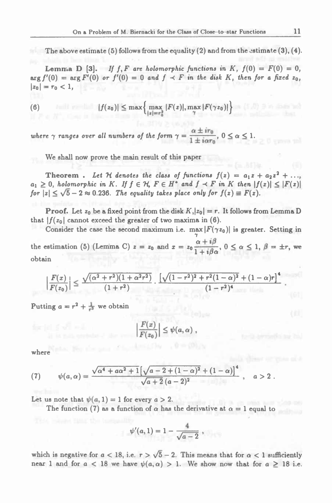The above estimate (5) follows from the equality (2) and from the estimate  $(3)$ ,  $(4)$ .

The above estimate (5) follows from the equality (2) and from the estimate (3), (4).<br>
Lemma D [3]. If f, F are holomorphic functions in K,  $f(0) = F(0) = 0$ ,<br>
arg  $f'(0) = \arg F'(0)$  or  $f'(0) = 0$  and  $f \prec F$  in the disk K, then for  $|z_0| = r_0 < 1$ ,

(6) 
$$
|f(z_0)| \leq \max\left\{\max_{\|z\|=\tau_0^2} |F(z)|, \max_{\gamma} |F(\gamma z_0)|\right\}
$$

where  $\gamma$  ranges over all numbers of the form  $\gamma = \frac{\alpha \pm ir_0}{1 + i\alpha r_0}$ ,  $0 \le \alpha \le 1$ .

**We shall now prove the main result of this paper**

**Theorem**. Let H denotes the class of functions  $f(z) = a_1 z + a_2 z^2 + ...$ Theorem . Let  $\mathcal H$  denotes the class of functions  $f(z) = a_1 z + a_2 z^2 + \ldots$ <br> $a_1 \geq 0$ , holomorphic in  $K$ . If  $f \in \mathcal H$ ,  $F \in H^*$  and  $f \prec F$  in  $K$  then  $|f(z)| \leq |F(z)|$  $a_1 \geq 0$ , holomorphic in K. If  $f \in H$ ,  $F \in H^*$  and  $f \prec F$  in K then  $|f$  for  $|z| \leq \sqrt{5}-2 \approx 0.236$ . The equality takes place only for  $f(z) \equiv F(z)$ .

**Proof.** Let  $z_0$  be a fixed point from the disk  $K$ ,  $|z_0| = r$ . It follows from Lemma D **that**  $|f(z_0)|$  cannot exceed the greater of two maxima in (6).

Consider the case the second maximum i.e. max  $|F(\gamma z_0)|$  is greater. Setting in the estimation (5) (Lemma C)  $z = z_0$  and  $x = z_0 \frac{\alpha + i\beta}{1 + i\beta\alpha}$ ,  $0 \le \alpha \le 1$ ,  $\beta = \pm r$ , we<br>obtain<br> $\left| \frac{F(x)}{F(z_0)} \right| \le \frac{\sqrt{(\alpha^2 + r^2)(1 + \alpha^2 r^2)}}{(1 + r^2)} \cdot \frac{\left[ \sqrt{(1 - r^2)^2 + r^2(1 - \alpha)^2} + (1 - \alpha)r \right]^4}{(1 - r^2)^4}$ . **obtain**

$$
\left|\frac{F(x)}{F(z_0)}\right| \leq \frac{\sqrt{(\alpha^2+r^2)(1+\alpha^2r^2)}}{(1+r^2)} \cdot \frac{\left[\sqrt{(1-r^2)^2+r^2(1-\alpha)^2}+(1-\alpha)r\right]^4}{(1-r^2)^4}.
$$

Putting  $a = r^2 + \frac{1}{r^2}$  we obtain

$$
\frac{F(x)}{F(z_0)}\Big|\leq \psi(a,\alpha)\;,
$$

**where**

where  
\n(7) 
$$
\psi(a,\alpha) = \frac{\sqrt{\alpha^4 + a\alpha^2 + 1} \left[\sqrt{a - 2 + (1 - \alpha)^2} + (1 - \alpha)\right]^4}{\sqrt{a + 2}(a - 2)^2}, \quad a > 2.
$$
\nLet us note that  $\psi(a, 1) = 1$  for every  $a > 2$ .  
\nThe function (7) as a function of  $\alpha$  has the derivative at  $\alpha = 1$  equal to

Let us note that  $\psi(a, 1) = 1$  for every  $a > 2$ .<br>The function (7) as a function of  $\alpha$  has the derivative at  $\alpha = 1$  equal to

$$
\psi'(a,1) = 1 - \frac{4}{\sqrt{a-2}} \; ,
$$

which is negative for  $a < 18$ , i.e.  $r > \sqrt{5} - 2$ . This means that for  $\alpha < 1$  sufficiently near 1 and for  $a < 18$  we have  $\psi(a, \alpha) > 1$ . We show now that for  $a \ge 18$  i.e.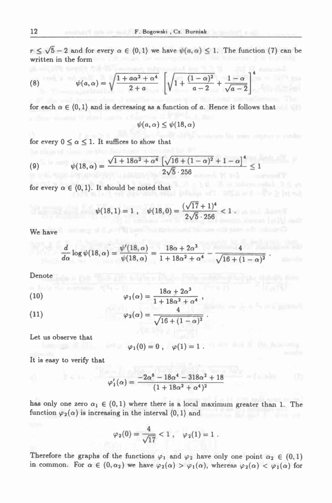$r \leq \sqrt{5}-2$  and for every  $\alpha \in (0,1)$  we have  $\psi(a,\alpha) \leq 1$ . The function (7) can be **written in the form**

(8) 
$$
\psi(a,\alpha) = \sqrt{\frac{1 + a\alpha^2 + \alpha^4}{2 + a}} \left[ \sqrt{1 + \frac{(1-\alpha)^2}{a-2}} + \frac{1-\alpha}{\sqrt{a-2}} \right]^4
$$

for each  $\alpha \in (0,1)$  and is decreasing as a function of a. Hence it follows that

 $\psi(a,\alpha) \leq \psi(18,\alpha)$ 

for every  $0 \le \alpha \le 1$ . It suffices to show that

(9) 
$$
\psi(18,\alpha) = \frac{\sqrt{1+18\alpha^2+\alpha^4} \left[\sqrt{16+(1-\alpha)^2}+1-\alpha\right]^4}{2\sqrt{5}\cdot 256} \le 1
$$

for every  $\alpha \in (0,1)$ . It should be noted that

it should be noted that  
\n
$$
\psi(18,1) = 1 \ , \quad \psi(18,0) = \frac{(\sqrt{17}+1)^4}{2\sqrt{5}\cdot 256} < 1 \ .
$$

**We have**

$$
\frac{d}{d\alpha}\log \psi(18,\alpha)=\frac{\psi'(18,\alpha)}{\psi(18,\alpha)}=\frac{18\alpha+2\alpha^3}{1+18\alpha^2+\alpha^4}-\frac{4}{\sqrt{16+(1-\alpha)^2}}.
$$

**Denote**

(10) 
$$
\varphi_1(\alpha) = \frac{18\alpha + 2\alpha^3}{1 + 18\alpha^2 + \alpha^4},
$$

(11) 
$$
\varphi_2(\alpha) = \frac{4}{\sqrt{16 + (1 - \alpha)^2}}.
$$

**Let us observe that**

$$
\varphi_1(0)=0\ ,\quad \varphi(1)=1\ .
$$

**It is easy to verify that**

$$
\varphi_1'(\alpha) = \frac{-2\alpha^6 - 18\alpha^4 - 318\alpha^2 + 18}{(1 + 18\alpha^2 + \alpha^4)^2}
$$

has only one zero  $\alpha_1 \in (0,1)$  where there is a local maximum greater than 1. The **function**  $\varphi_2(\alpha)$  is increasing in the interval  $\langle 0,1 \rangle$  and

$$
\varphi_2(0) = \frac{4}{\sqrt{17}} < 1 \; , \quad \varphi_2(1) = 1 \; .
$$

Therefore the graphs of the functions  $\varphi_1$  and  $\varphi_2$  have only one point  $\alpha_2 \in (0,1)$ <br>in common. For  $\alpha \in (0,\alpha_2)$  we have  $\varphi_2(\alpha) > \varphi_1(\alpha)$ , whereas  $\varphi_2(\alpha) < \varphi_1(\alpha)$  for

$$
\sqrt{10+11}
$$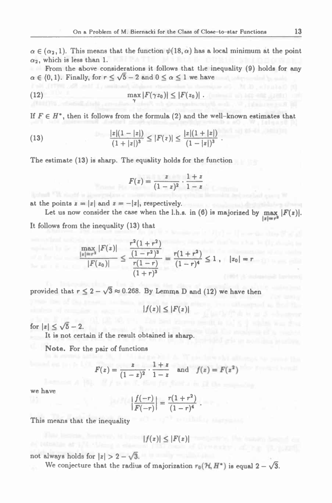$\alpha \in (\alpha_2, 1)$ . This means that the function  $\psi(18, \alpha)$  has a local minimum at the point  $\alpha_2$ , which is less than 1.  $\alpha_2$ , which is less than 1.

From the above considerations it follows that the inequality (9) holds for any  $\alpha \in (0,1)$ . Finally, for  $r \le \sqrt{5}-2$  and  $0 \le \alpha \le 1$  we have

(12) 
$$
\max_{\gamma} |F(\gamma z_0)| \leq |F(z_0)|.
$$

If  $F \in H^{\bullet}$ , then it follows from the formula (2) and the well-known estimates that

(13) 
$$
\frac{|z|(1-|z|)}{(1+|z|)^3} \le |F(z)| \le \frac{|z|(1+|z|)}{(1-|z|)^3}.
$$
The estimate (13) is sharp. The equality holds for the function  

$$
F(z) = \frac{z}{(1-z)^2} \cdot \frac{1+z}{1-z}.
$$

**The estimate (13) is sharp. The equality holds for the function**

$$
F(z)=\frac{z}{(1-z)^2}\cdot\frac{1+z}{1-z}
$$

**at** the points  $z = |z|$  and  $z = -|z|$ , respectively.

Let us now consider the case when the l.h.s. in (6) is majorized by max  $|F(z)|$ . **It follows from the inequality (13) that**

$$
\frac{\max\limits_{|x|=r^2}|F(z)|}{|F(z_0)|} \leq \frac{\frac{r^2(1+r^2)}{(1-r^2)^3}}{\frac{r(1-r)}{(1+r)^3}} = \frac{r(1+r^2)}{(1-r)^4} \leq 1 , \quad |z_0| = r
$$

provided that  $r \leq 2 - \sqrt{3} \approx 0.268$ . By Lemma D and (12) we have then

 $|f(z)| \leq |F(z)|$ 

for  $|z| \leq \sqrt{5} - 2$ .

**It is not certain if the result obtained is sharp.**

Note. For the pair of functions  

$$
F(z) = \frac{z}{(1-z)^2} \cdot \frac{1+z}{1-z} \text{ and } f(z) = F(z^2)
$$

**we have**

$$
\frac{-z}{r^2} \cdot \frac{1-z}{1-z} \quad \text{and} \quad f(\frac{z}{r-r^2})
$$
\n
$$
\left| \frac{f(-r)}{F(-r)} \right| = \frac{r(1+r^2)}{(1-r)^4}.
$$

**This means that the inequality**

$$
|f(z)| \leq |F(z)|
$$

not **always** holds for  $|z| > 2 - \sqrt{3}$ .

We conjecture that the radius of majorization  $r_0(\mathcal{H}, H^*)$  is equal  $2 - \sqrt{3}$ .